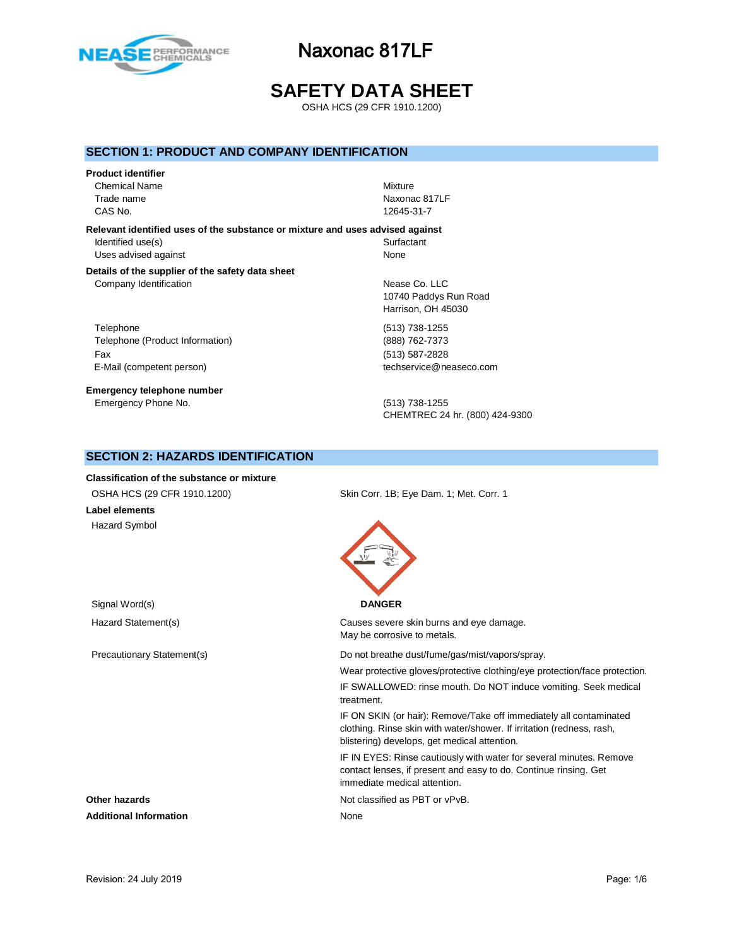

# **SAFETY DATA SHEET**

OSHA HCS (29 CFR 1910.1200)

### **SECTION 1: PRODUCT AND COMPANY IDENTIFICATION**

| <b>Product identifier</b> |           |
|---------------------------|-----------|
| Chemical Name             | Mixture   |
| Trade name                | Naxona    |
| CAS No.                   | $12645 -$ |

**Relevant identified uses of the substance or mixture and uses advised against** Identified use(s) Surfactant Uses advised against None

#### **Details of the supplier of the safety data sheet** Company Identification **Nease Co.** LLC

Telephone (513) 738-1255 Telephone (Product Information) (888) 762-7373 Fax (513) 587-2828 E-Mail (competent person) example a second techservice@neaseco.com

**Emergency telephone number** Emergency Phone No. (513) 738-1255

Naxonac 817LF 12645-31-7

10740 Paddys Run Road Harrison, OH 45030

CHEMTREC 24 hr. (800) 424-9300

### **SECTION 2: HAZARDS IDENTIFICATION**

**Classification of the substance or mixture**

OSHA HCS (29 CFR 1910.1200) Skin Corr. 1B; Eye Dam. 1; Met. Corr. 1

**Label elements** Hazard Symbol

#### Signal Word(s) **DANGER**

Hazard Statement(s) Causes severe skin burns and eye damage. May be corrosive to metals.

Precautionary Statement(s) example and the Do not breathe dust/fume/gas/mist/vapors/spray.

Wear protective gloves/protective clothing/eye protection/face protection.

IF SWALLOWED: rinse mouth. Do NOT induce vomiting. Seek medical treatment.

IF ON SKIN (or hair): Remove/Take off immediately all contaminated clothing. Rinse skin with water/shower. If irritation (redness, rash, blistering) develops, get medical attention.

IF IN EYES: Rinse cautiously with water for several minutes. Remove contact lenses, if present and easy to do. Continue rinsing. Get immediate medical attention.

**Other hazards Not classified as PBT or vPvB.** 

Additional Information **None** None

Revision: 24 July 2019 **Page: 1/6** Page: 1/6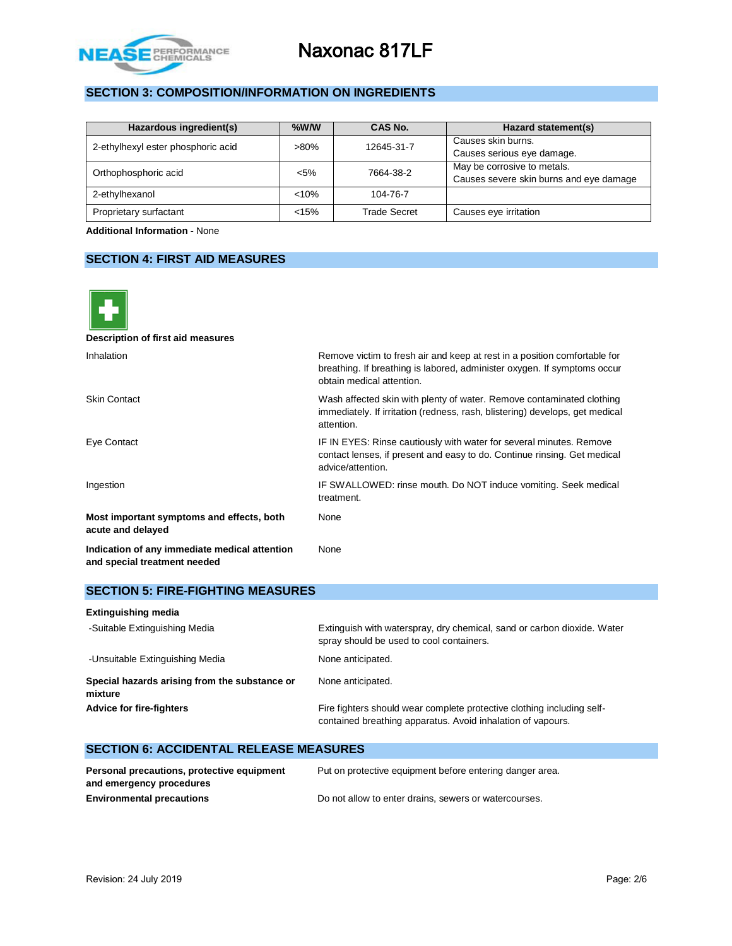

# **SECTION 3: COMPOSITION/INFORMATION ON INGREDIENTS**

| Hazardous ingredient(s)            | $%$ W/W | CAS No.             | Hazard statement(s)                     |
|------------------------------------|---------|---------------------|-----------------------------------------|
| 2-ethylhexyl ester phosphoric acid | >80%    | 12645-31-7          | Causes skin burns.                      |
|                                    |         |                     | Causes serious eye damage.              |
| Orthophosphoric acid               | $< 5\%$ | 7664-38-2           | May be corrosive to metals.             |
|                                    |         |                     | Causes severe skin burns and eye damage |
| 2-ethylhexanol                     | < 10%   | 104-76-7            |                                         |
| Proprietary surfactant             | < 15%   | <b>Trade Secret</b> | Causes eye irritation                   |

**Additional Information -** None

## **SECTION 4: FIRST AID MEASURES**



## **SECTION 5: FIRE-FIGHTING MEASURES**

#### **Extinguishing media**

| -Suitable Extinguishing Media                            | Extinguish with waterspray, dry chemical, sand or carbon dioxide. Water<br>spray should be used to cool containers.                   |
|----------------------------------------------------------|---------------------------------------------------------------------------------------------------------------------------------------|
| -Unsuitable Extinguishing Media                          | None anticipated.                                                                                                                     |
| Special hazards arising from the substance or<br>mixture | None anticipated.                                                                                                                     |
| <b>Advice for fire-fighters</b>                          | Fire fighters should wear complete protective clothing including self-<br>contained breathing apparatus. Avoid inhalation of vapours. |

## **SECTION 6: ACCIDENTAL RELEASE MEASURES**

| Personal precautions, protective equipment | Put on protective equipment before entering danger area. |
|--------------------------------------------|----------------------------------------------------------|
| and emergency procedures                   |                                                          |
| <b>Environmental precautions</b>           | Do not allow to enter drains, sewers or watercourses.    |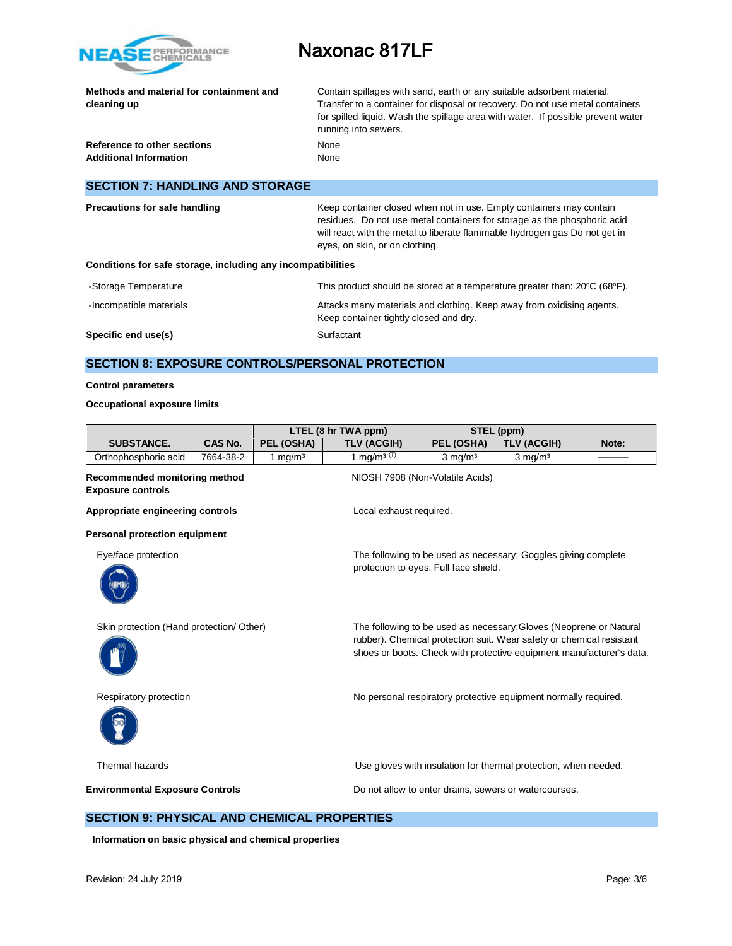

|             | Methods and material for containment and |  |
|-------------|------------------------------------------|--|
| cleaning up |                                          |  |

Contain spillages with sand, earth or any suitable adsorbent material. Transfer to a container for disposal or recovery. Do not use metal containers for spilled liquid. Wash the spillage area with water. If possible prevent water running into sewers.

**Reference to other sections** None Additional Information **None** 

# **SECTION 7: HANDLING AND STORAGE**

| Precautions for safe handling                                | Keep container closed when not in use. Empty containers may contain<br>residues. Do not use metal containers for storage as the phosphoric acid<br>will react with the metal to liberate flammable hydrogen gas Do not get in<br>eyes, on skin, or on clothing. |
|--------------------------------------------------------------|-----------------------------------------------------------------------------------------------------------------------------------------------------------------------------------------------------------------------------------------------------------------|
| Conditions for safe storage, including any incompatibilities |                                                                                                                                                                                                                                                                 |
| -Storage Temperature                                         | This product should be stored at a temperature greater than: $20^{\circ}C$ (68 $^{\circ}F$ ).                                                                                                                                                                   |
| -Incompatible materials                                      | Attacks many materials and clothing. Keep away from oxidising agents.                                                                                                                                                                                           |

**Specific end use(s)** Surfactant

Keep container tightly closed and dry.

### **SECTION 8: EXPOSURE CONTROLS/PERSONAL PROTECTION**

#### **Control parameters**

#### **Occupational exposure limits**

|                                                           |           |            | LTEL (8 hr TWA ppm)                   | STEL (ppm)         |                                                                                                                                            |                                                                      |
|-----------------------------------------------------------|-----------|------------|---------------------------------------|--------------------|--------------------------------------------------------------------------------------------------------------------------------------------|----------------------------------------------------------------------|
| <b>SUBSTANCE.</b>                                         | CAS No.   | PEL (OSHA) | <b>TLV (ACGIH)</b>                    | PEL (OSHA)         | <b>TLV (ACGIH)</b>                                                                                                                         | Note:                                                                |
| Orthophosphoric acid                                      | 7664-38-2 | 1 mg/ $m3$ | 1 mg/m <sup>3<math>(T)</math></sup>   | $3 \text{ mg/m}^3$ | $3$ mg/m <sup>3</sup>                                                                                                                      |                                                                      |
| Recommended monitoring method<br><b>Exposure controls</b> |           |            | NIOSH 7908 (Non-Volatile Acids)       |                    |                                                                                                                                            |                                                                      |
| Appropriate engineering controls                          |           |            | Local exhaust required.               |                    |                                                                                                                                            |                                                                      |
| <b>Personal protection equipment</b>                      |           |            |                                       |                    |                                                                                                                                            |                                                                      |
| Eye/face protection                                       |           |            | protection to eyes. Full face shield. |                    | The following to be used as necessary: Goggles giving complete                                                                             |                                                                      |
| Skin protection (Hand protection/ Other)                  |           |            |                                       |                    | The following to be used as necessary: Gloves (Neoprene or Natural<br>rubber). Chemical protection suit. Wear safety or chemical resistant | shoes or boots. Check with protective equipment manufacturer's data. |
| Respiratory protection                                    |           |            |                                       |                    | No personal respiratory protective equipment normally required.                                                                            |                                                                      |
| Thermal hazards                                           |           |            |                                       |                    | Use gloves with insulation for thermal protection, when needed.                                                                            |                                                                      |
| <b>Environmental Exposure Controls</b>                    |           |            |                                       |                    | Do not allow to enter drains, sewers or watercourses.                                                                                      |                                                                      |

# **SECTION 9: PHYSICAL AND CHEMICAL PROPERTIES**

**Information on basic physical and chemical properties**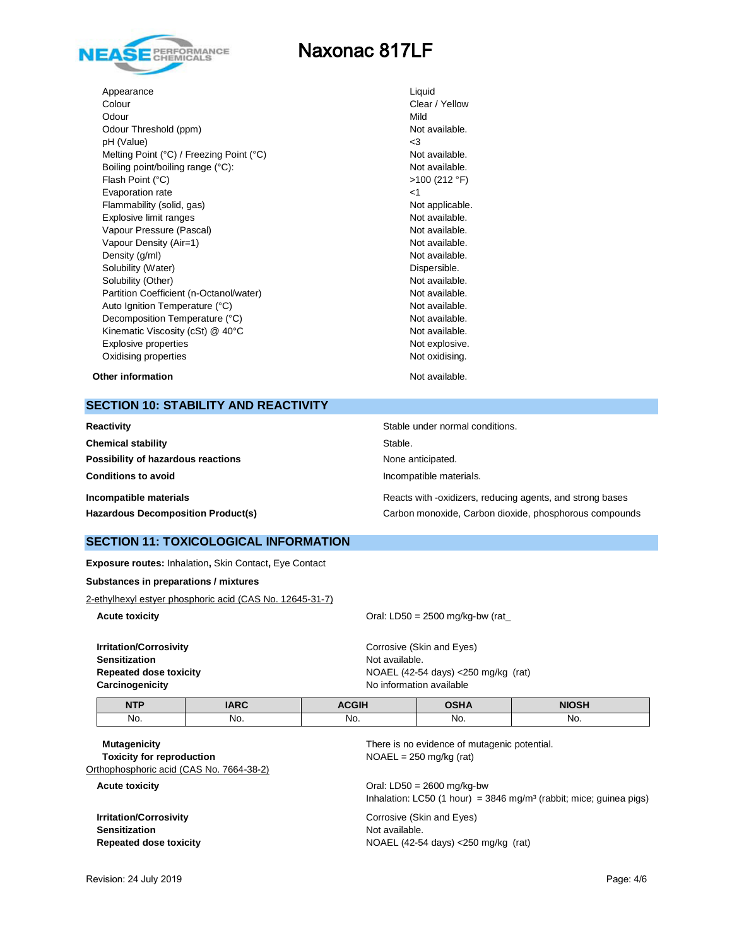

Appearance Liquid Colour Colour Clear / Yellow Odour Nild Odour Threshold (ppm) Not available. pH (Value)  $<$ 3 Melting Point (°C) / Freezing Point (°C) Not available. Boiling point/boiling range (°C): Not available. Flash Point (°C)  $>100$  (212 °F) Evaporation rate <1 Flammability (solid, gas) Not applicable. Explosive limit ranges Not available. Vapour Pressure (Pascal) Not available. Vapour Density (Air=1) Not available. Density (g/ml) Not available. Solubility (Water) **Dispersible.** Solubility (Other) Not available. Partition Coefficient (n-Octanol/water) Not available. Auto Ignition Temperature (°C) and the control of the Not available. Decomposition Temperature (°C) Not available. Kinematic Viscosity (cSt) @ 40°C Not available. Explosive properties **Note 20** and 20 and 20 and 20 and 20 and 20 and 20 and 20 and 20 and 20 and 20 and 20 and 20 and 20 and 20 and 20 and 20 and 20 and 20 and 20 and 20 and 20 and 20 and 20 and 20 and 20 and 20 and 20 an Oxidising properties Not oxidising.

**Other information** and the state of the state of the state of the Not available.

## **SECTION 10: STABILITY AND REACTIVITY**

| Reactivity                                                          | Stable under normal conditions.                                                                                     |
|---------------------------------------------------------------------|---------------------------------------------------------------------------------------------------------------------|
| <b>Chemical stability</b>                                           | Stable.                                                                                                             |
| Possibility of hazardous reactions                                  | None anticipated.                                                                                                   |
| <b>Conditions to avoid</b>                                          | Incompatible materials.                                                                                             |
| Incompatible materials<br><b>Hazardous Decomposition Product(s)</b> | Reacts with -oxidizers, reducing agents, and strong bases<br>Carbon monoxide, Carbon dioxide, phosphorous compounds |

### **SECTION 11: TOXICOLOGICAL INFORMATION**

**Exposure routes:** Inhalation**,** Skin Contact**,** Eye Contact

**Substances in preparations / mixtures**

2-ethylhexyl estyer phosphoric acid (CAS No. 12645-31-7)

**Irritation/Corrosivity** Corrosive (Skin and Eyes) **Sensitization** Not available. **Carcinogenicity Carcinogenicity No information available** 

**Acute toxicity Acute toxicity COVE 10 COVE 10 COVE 10 COVE 10 COVE 10 COVE 10 COVE 10 COVE 10 COVE 10 COVE 10 COVE 10 COVE 10 COVE 10 COVE 10 COVE 10 COVE 10 COVE 10 COVE 10 COVE 10** 

**Repeated dose toxicity NOAEL (42-54 days) <250 mg/kg (rat)** 

| <b>NTP</b> | <b>IARC</b> | <b>ACGIH</b> | <b>OSHA</b> | <b>NIOSH</b> |
|------------|-------------|--------------|-------------|--------------|
| No.        | No.         | No.          | No.         | No.          |

**Toxicity for reproduction NOAEL** = 250 mg/kg (rat) Orthophosphoric acid (CAS No. 7664-38-2)

**Sensitization** Not available.

**Mutagenicity** Mutagenicity **There** is no evidence of mutagenic potential.

**Acute toxicity Acute is a set of the set of the CO**ral: LD50 = 2600 mg/kg-bw Inhalation: LC50 (1 hour) =  $3846$  mg/m<sup>3</sup> (rabbit; mice; guinea pigs)

**Irritation/Corrosivity Corrosive (Skin and Eyes)** Corrosive (Skin and Eyes) **Repeated dose toxicity NOAEL (42-54 days)** <250 mg/kg (rat)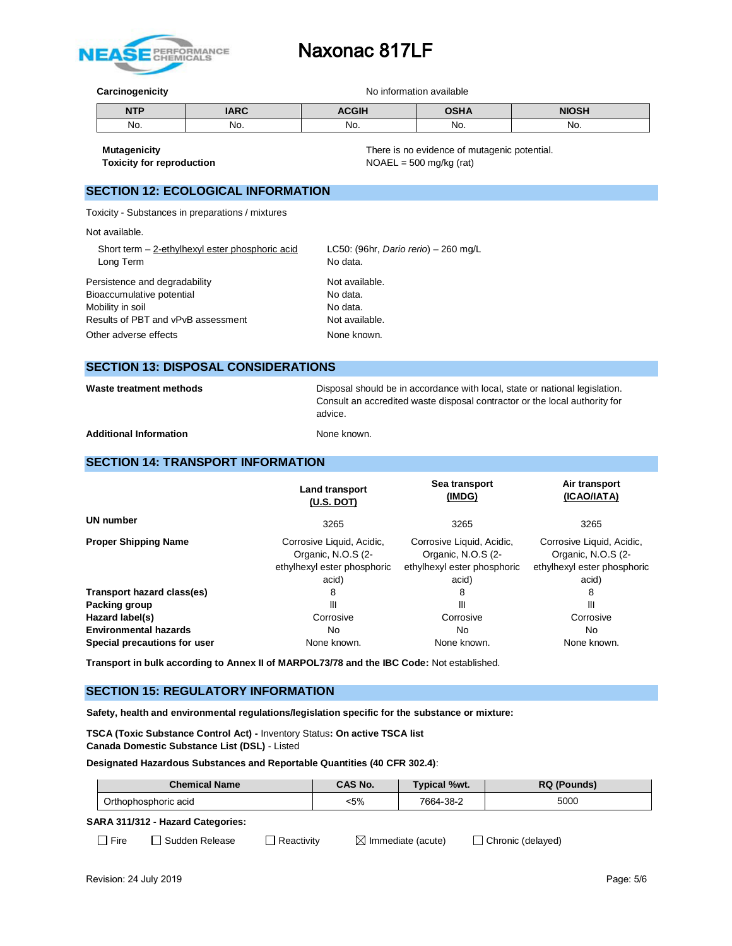

**Carcinogenicity Carcinogenicity No information available** 

| $\overline{\phantom{a}}$<br>NI.<br>. | .  | $  -$ | .   | $\sim$ |
|--------------------------------------|----|-------|-----|--------|
| No.                                  | No | No.   | No. | No.    |

**Toxicity for reproduction** NOAEL = 500 mg/kg (rat)

**Mutagenicity** There is no evidence of mutagenic potential.

Toxicity - Substances in preparations / mixtures

**SECTION 12: ECOLOGICAL INFORMATION**

Not available.

| Short term - 2-ethylhexyl ester phosphoric acid<br>Long Term | LC50: (96hr, Dario rerio) $-260$ mg/L<br>No data. |
|--------------------------------------------------------------|---------------------------------------------------|
| Persistence and degradability                                | Not available.                                    |
| Bioaccumulative potential                                    | No data.                                          |
| Mobility in soil                                             | No data.                                          |
| Results of PBT and vPvB assessment                           | Not available.                                    |
| Other adverse effects                                        | None known.                                       |

## **SECTION 13: DISPOSAL CONSIDERATIONS**

Waste treatment methods **Disposal should be in accordance with local**, state or national legislation. Consult an accredited waste disposal contractor or the local authority for advice.

Additional Information **None known.** None known.

### **SECTION 14: TRANSPORT INFORMATION**

|                              | <b>Land transport</b><br>(U.S. DOT)                                                     | Sea transport<br>(IMDG)                                                                 | Air transport<br>(ICAO/IATA)                                                            |
|------------------------------|-----------------------------------------------------------------------------------------|-----------------------------------------------------------------------------------------|-----------------------------------------------------------------------------------------|
| UN number                    | 3265                                                                                    | 3265                                                                                    | 3265                                                                                    |
| <b>Proper Shipping Name</b>  | Corrosive Liquid, Acidic,<br>Organic, N.O.S (2-<br>ethylhexyl ester phosphoric<br>acid) | Corrosive Liquid, Acidic,<br>Organic, N.O.S (2-<br>ethylhexyl ester phosphoric<br>acid) | Corrosive Liquid, Acidic,<br>Organic, N.O.S (2-<br>ethylhexyl ester phosphoric<br>acid) |
| Transport hazard class(es)   | 8                                                                                       | 8                                                                                       | 8                                                                                       |
| Packing group                | Ш                                                                                       | Ш                                                                                       | Ш                                                                                       |
| Hazard label(s)              | Corrosive                                                                               | Corrosive                                                                               | Corrosive                                                                               |
| <b>Environmental hazards</b> | No                                                                                      | No.                                                                                     | No.                                                                                     |
| Special precautions for user | None known.                                                                             | None known.                                                                             | None known.                                                                             |

**Transport in bulk according to Annex II of MARPOL73/78 and the IBC Code:** Not established.

## **SECTION 15: REGULATORY INFORMATION**

**Safety, health and environmental regulations/legislation specific for the substance or mixture:**

**TSCA (Toxic Substance Control Act) -** Inventory Status**: On active TSCA list Canada Domestic Substance List (DSL)** - Listed

**Designated Hazardous Substances and Reportable Quantities (40 CFR 302.4)**:

| <b>Chemical Name</b> | CAS No. | Typical %wt. | (Pounds)<br>RQ |
|----------------------|---------|--------------|----------------|
| Orthophosphoric acid | <5%     | 7664-38-2    | 5000           |

#### **SARA 311/312 - Hazard Categories:**

 $\Box$  Fire  $\Box$  Sudden Release  $\Box$  Reactivity  $\Box$  Immediate (acute)  $\Box$  Chronic (delayed)